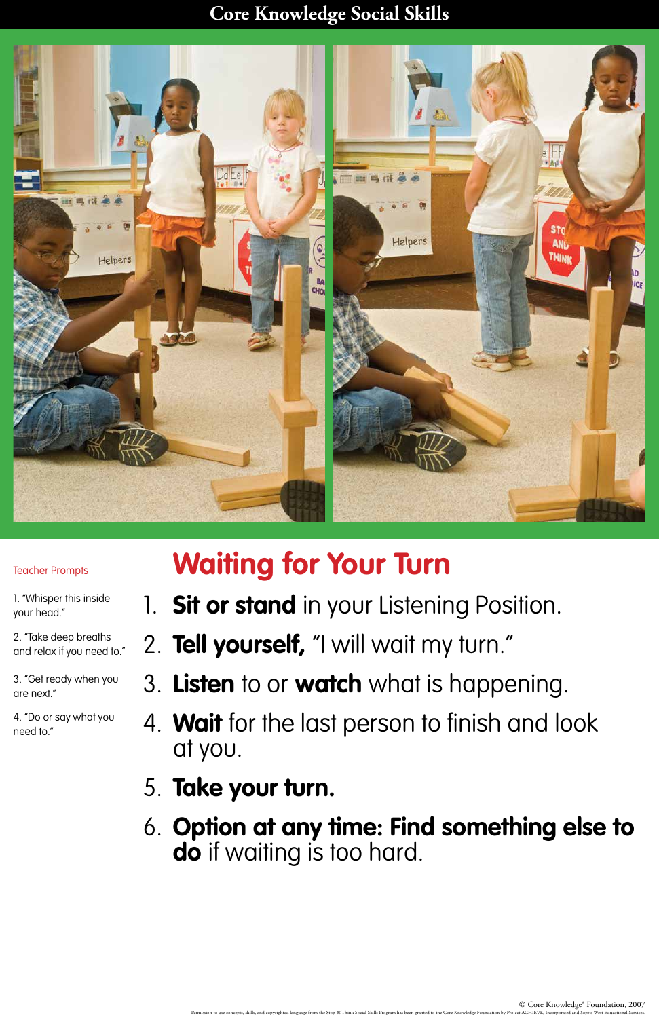#### **Core Knowledge Social Skills**



# **Waiting for Your Turn**

- 1. **Sit or stand** in your Listening Position.
- 2. **Tell yourself,** "I will wait my turn."
- 3. **Listen** to or **watch** what is happening.
- 4. **Wait** for the last person to finish and look

## at you.

# 5. **Take your turn.**

# 6. **Option at any time: Find something else to do** if waiting is too hard.

#### Teacher Prompts

1. "Whisper this inside your head."

2. "Take deep breaths and relax if you need to."

3. "Get ready when you are next."

4. "Do or say what you need to."